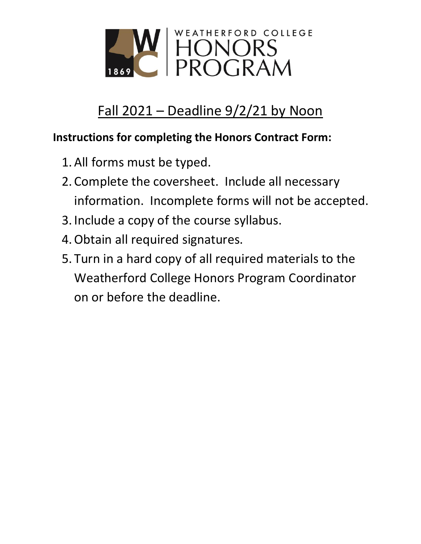

# Fall 2021 – Deadline 9/2/21 by Noon

## **Instructions for completing the Honors Contract Form:**

- 1.All forms must be typed.
- 2. Complete the coversheet. Include all necessary information. Incomplete forms will not be accepted.
- 3. Include a copy of the course syllabus.
- 4.Obtain all required signatures.
- 5. Turn in a hard copy of all required materials to the Weatherford College Honors Program Coordinator on or before the deadline.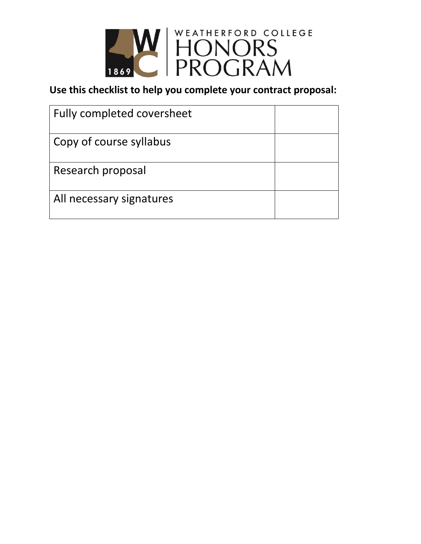

**Use this checklist to help you complete your contract proposal:**

| <b>Fully completed coversheet</b> |  |
|-----------------------------------|--|
| Copy of course syllabus           |  |
| Research proposal                 |  |
| All necessary signatures          |  |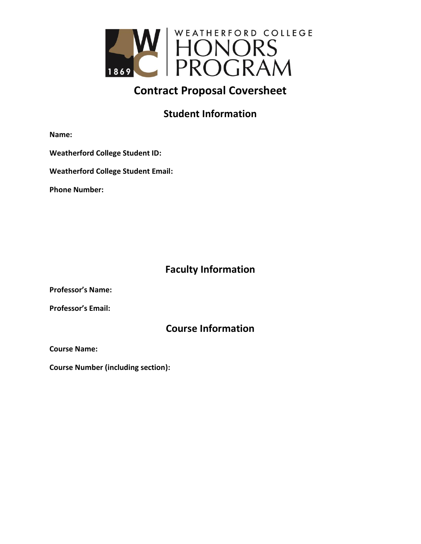

### **Contract Proposal Coversheet**

#### **Student Information**

**Name:**

**Weatherford College Student ID:**

**Weatherford College Student Email:** 

**Phone Number:**

#### **Faculty Information**

**Professor's Name:**

**Professor's Email:**

#### **Course Information**

**Course Name:**

**Course Number (including section):**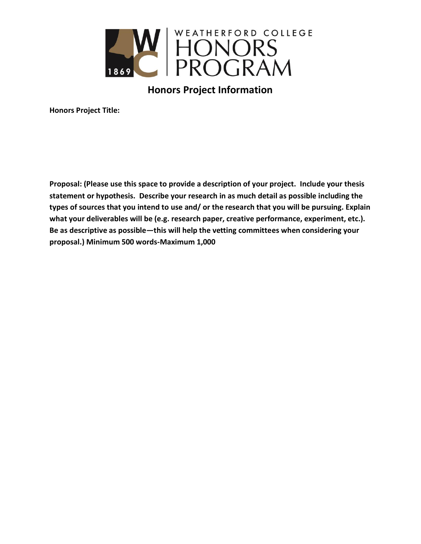

**Honors Project Information**

**Honors Project Title:** 

**Proposal: (Please use this space to provide a description of your project. Include your thesis statement or hypothesis. Describe your research in as much detail as possible including the types of sources that you intend to use and/ or the research that you will be pursuing. Explain what your deliverables will be (e.g. research paper, creative performance, experiment, etc.). Be as descriptive as possible—this will help the vetting committees when considering your proposal.) Minimum 500 words-Maximum 1,000**